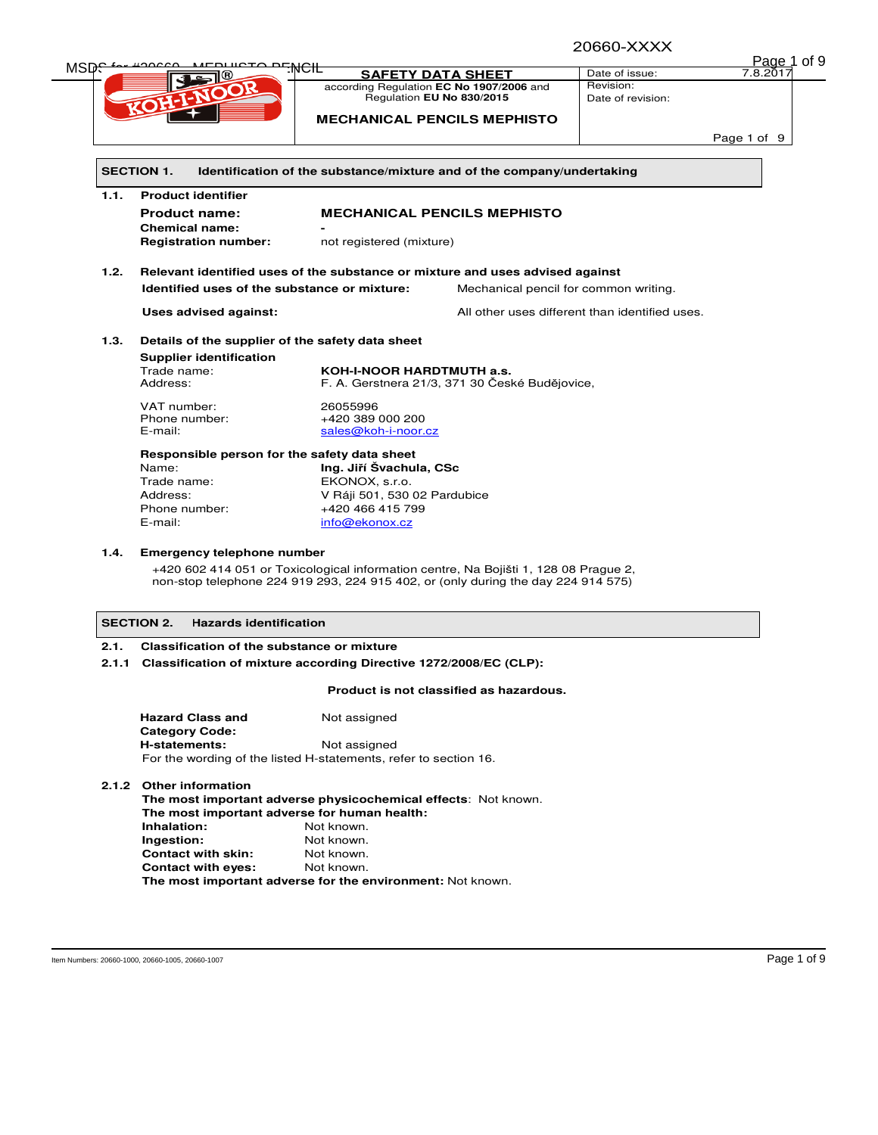20660-XXXX

| MSD <del>.</del> |                                                                               |                                                                        | <u> ∠∪∪∪ט-∧∧∧</u>                              |             |  |  |  |
|------------------|-------------------------------------------------------------------------------|------------------------------------------------------------------------|------------------------------------------------|-------------|--|--|--|
|                  |                                                                               |                                                                        |                                                | Page 1 of 9 |  |  |  |
|                  | <del>Treito pri WCIF</del>                                                    | <b>SAFETY DATA SHEET</b>                                               | Date of issue:                                 | 7.8.2017    |  |  |  |
|                  | <b>KOHAANOOR</b>                                                              | according Regulation EC No 1907/2006 and                               | Revision:                                      |             |  |  |  |
|                  |                                                                               | Regulation EU No 830/2015                                              | Date of revision:                              |             |  |  |  |
|                  |                                                                               | <b>MECHANICAL PENCILS MEPHISTO</b>                                     |                                                |             |  |  |  |
|                  |                                                                               |                                                                        |                                                |             |  |  |  |
|                  |                                                                               |                                                                        |                                                | Page 1 of 9 |  |  |  |
|                  |                                                                               |                                                                        |                                                |             |  |  |  |
|                  | <b>SECTION 1.</b>                                                             | Identification of the substance/mixture and of the company/undertaking |                                                |             |  |  |  |
|                  |                                                                               |                                                                        |                                                |             |  |  |  |
| 1.1.             | <b>Product identifier</b>                                                     |                                                                        |                                                |             |  |  |  |
|                  | <b>Product name:</b>                                                          | <b>MECHANICAL PENCILS MEPHISTO</b>                                     |                                                |             |  |  |  |
|                  | <b>Chemical name:</b>                                                         |                                                                        |                                                |             |  |  |  |
|                  | <b>Registration number:</b>                                                   | not registered (mixture)                                               |                                                |             |  |  |  |
|                  |                                                                               |                                                                        |                                                |             |  |  |  |
| 1.2.             |                                                                               |                                                                        |                                                |             |  |  |  |
|                  | Relevant identified uses of the substance or mixture and uses advised against |                                                                        |                                                |             |  |  |  |
|                  | Identified uses of the substance or mixture:                                  |                                                                        | Mechanical pencil for common writing.          |             |  |  |  |
|                  | Uses advised against:                                                         |                                                                        | All other uses different than identified uses. |             |  |  |  |
|                  |                                                                               | Details of the supplier of the safety data sheet                       |                                                |             |  |  |  |
|                  |                                                                               |                                                                        |                                                |             |  |  |  |
|                  |                                                                               |                                                                        |                                                |             |  |  |  |
|                  | <b>Supplier identification</b>                                                |                                                                        |                                                |             |  |  |  |
|                  | Trade name:                                                                   | <b>KOH-I-NOOR HARDTMUTH a.s.</b>                                       |                                                |             |  |  |  |
|                  | Address:                                                                      | F. A. Gerstnera 21/3, 371 30 České Budějovice,                         |                                                |             |  |  |  |
|                  | VAT number:                                                                   | 26055996                                                               |                                                |             |  |  |  |
| 1.3.             | Phone number:                                                                 | +420 389 000 200                                                       |                                                |             |  |  |  |
|                  | E-mail:                                                                       | sales@koh-i-noor.cz                                                    |                                                |             |  |  |  |
|                  |                                                                               |                                                                        |                                                |             |  |  |  |
|                  | Responsible person for the safety data sheet                                  |                                                                        |                                                |             |  |  |  |
|                  | Name:                                                                         | Ing. Jiří Švachula, CSc                                                |                                                |             |  |  |  |
|                  | Trade name:                                                                   | EKONOX, s.r.o.                                                         |                                                |             |  |  |  |
|                  | Address:                                                                      | V Ráji 501, 530 02 Pardubice                                           |                                                |             |  |  |  |
|                  | Phone number:                                                                 | +420 466 415 799                                                       |                                                |             |  |  |  |

+420 602 414 051 or Toxicological information centre, Na Bojišti 1, 128 08 Prague 2, non-stop telephone 224 919 293, 224 915 402, or (only during the day 224 914 575)

### **SECTION 2. Hazards identification**

### **2.1. Classification of the substance or mixture**

**2.1.1 Classification of mixture according Directive 1272/2008/EC (CLP):** 

### **Product is not classified as hazardous.**

| <b>Hazard Class and</b><br>Not assigned                          |              |  |  |  |
|------------------------------------------------------------------|--------------|--|--|--|
| <b>Category Code:</b>                                            |              |  |  |  |
| H-statements:                                                    | Not assigned |  |  |  |
| For the wording of the listed H-statements, refer to section 16. |              |  |  |  |

### **2.1.2 Other information**

**The most important adverse physicochemical effects**: Not known. **The most important adverse for human health: Inhalation:** Not known.<br> **Ingestion:** Not known. Not known. **Contact with skin:** Not known. **Contact with eyes:** Not known. **The most important adverse for the environment:** Not known.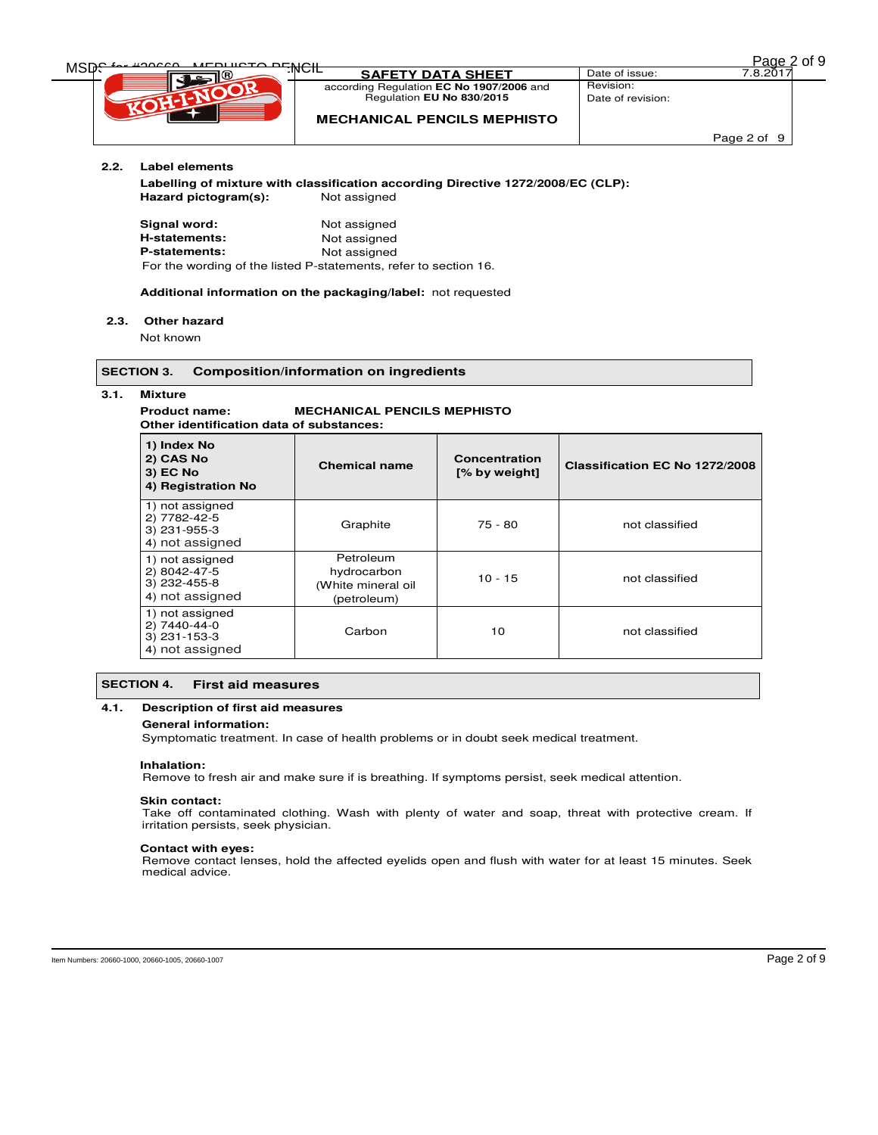|  | <u>Page 2</u> of 9 |  |  |  |
|--|--------------------|--|--|--|
|--|--------------------|--|--|--|

| <b>MEDURATO DEMOIL</b> |                                          |                   | of 9<br>Page 2 |
|------------------------|------------------------------------------|-------------------|----------------|
| MSD                    | :เพ∪เ∟<br><b>SAFETY DATA SHEET</b>       | Date of issue:    | 7.8.201        |
|                        | according Regulation EC No 1907/2006 and | Revision:         |                |
|                        | Regulation EU No 830/2015                | Date of revision: |                |
|                        | <b>MECHANICAL PENCILS MEPHISTO</b>       |                   |                |
|                        |                                          |                   | Page 2 of 9    |

## **2.2. Label elements**

**Labelling of mixture with classification according Directive 1272/2008/EC (CLP):**  Hazard pictogram(s): Not assigned

| Signal word:                                                     | Not assigned |  |
|------------------------------------------------------------------|--------------|--|
| H-statements:                                                    | Not assigned |  |
| <b>P-statements:</b>                                             | Not assigned |  |
| For the wording of the listed P-statements, refer to section 16. |              |  |

#### **Additional information on the packaging/label:** not requested

#### **2.3. Other hazard**

Not known

### **SECTION 3. Composition/information on ingredients**

**3.1. Mixture**

#### **Product name: MECHANICAL PENCILS MEPHISTO Other identification data of substances:**

| 1) Index No<br>2) CAS No<br>3) EC No<br>4) Registration No           | <b>Chemical name</b>                                          | Concentration<br>[% by weight] | Classification EC No 1272/2008 |
|----------------------------------------------------------------------|---------------------------------------------------------------|--------------------------------|--------------------------------|
| 1) not assigned<br>2) 7782-42-5<br>$3)$ 231-955-3<br>4) not assigned | Graphite                                                      | $75 - 80$                      | not classified                 |
| 1) not assigned<br>2) 8042-47-5<br>3) 232-455-8<br>4) not assigned   | Petroleum<br>hydrocarbon<br>(White mineral oil<br>(petroleum) | $10 - 15$                      | not classified                 |
| 1) not assigned<br>2) 7440-44-0<br>3) 231-153-3<br>4) not assigned   | Carbon                                                        | 10                             | not classified                 |

### **SECTION 4. First aid measures**

### **4.1. Description of first aid measures**

#### **General information:**

Symptomatic treatment. In case of health problems or in doubt seek medical treatment.

#### **Inhalation:**

Remove to fresh air and make sure if is breathing. If symptoms persist, seek medical attention.

#### **Skin contact:**

Take off contaminated clothing. Wash with plenty of water and soap, threat with protective cream. If irritation persists, seek physician.

#### **Contact with eyes:**

Remove contact lenses, hold the affected eyelids open and flush with water for at least 15 minutes. Seek medical advice.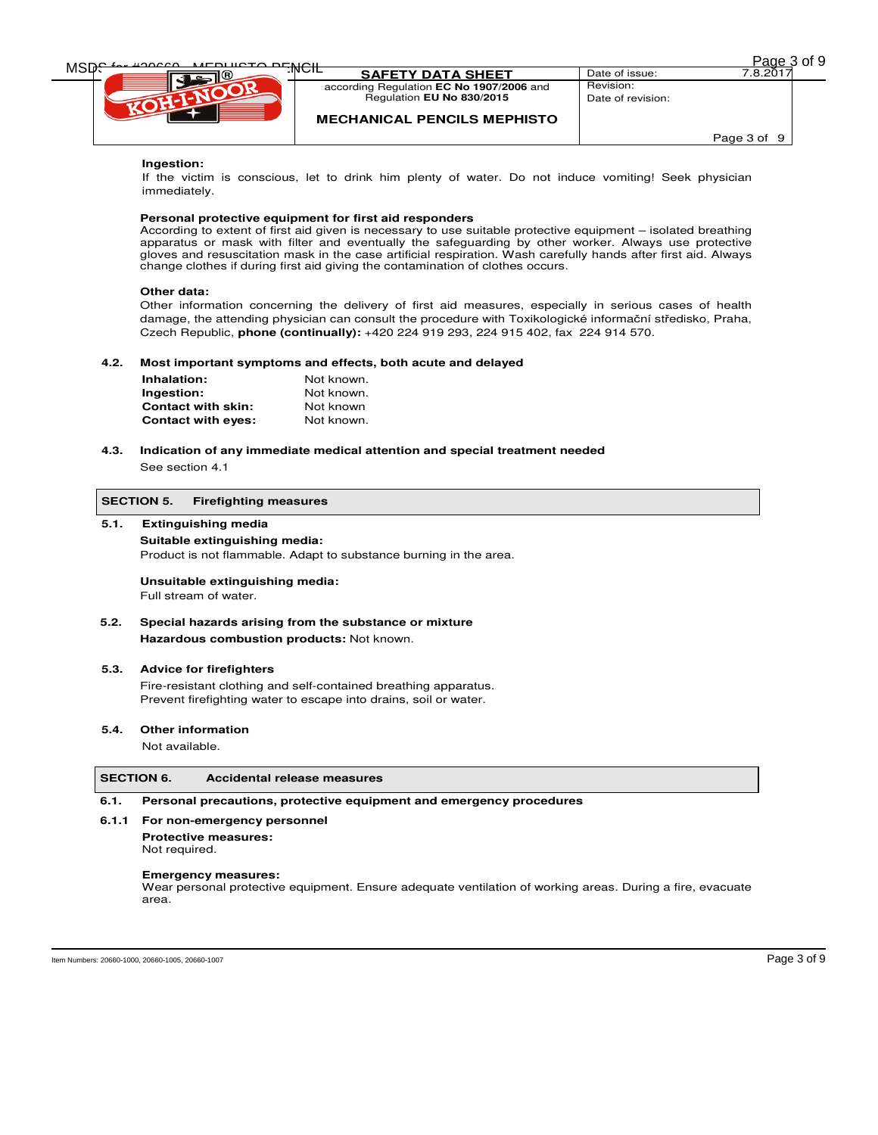| MEDURATO DEMOIL<br>$\sim$ 400000 |                                          |                   | of 9<br>Page 3 |
|----------------------------------|------------------------------------------|-------------------|----------------|
| MSD <del>C</del>                 | :™ਾ⊏<br><b>SAFETY DATA SHEET</b>         | Date of issue:    | 7.8.2017       |
|                                  | according Regulation EC No 1907/2006 and | Revision:         |                |
|                                  | Regulation EU No 830/2015                | Date of revision: |                |
|                                  | <b>MECHANICAL PENCILS MEPHISTO</b>       |                   |                |
|                                  |                                          |                   | Page 3 of 9    |
| Ingoetion:                       |                                          |                   |                |

### **Ingestion:**

If the victim is conscious, let to drink him plenty of water. Do not induce vomiting! Seek physician immediately.

#### **Personal protective equipment for first aid responders**

According to extent of first aid given is necessary to use suitable protective equipment – isolated breathing apparatus or mask with filter and eventually the safeguarding by other worker. Always use protective gloves and resuscitation mask in the case artificial respiration. Wash carefully hands after first aid. Always change clothes if during first aid giving the contamination of clothes occurs.

#### **Other data:**

Other information concerning the delivery of first aid measures, especially in serious cases of health damage, the attending physician can consult the procedure with Toxikologické informační středisko, Praha, Czech Republic, **phone (continually):** +420 224 919 293, 224 915 402, fax 224 914 570.

### **4.2. Most important symptoms and effects, both acute and delayed**

| Inhalation:               | Not known. |
|---------------------------|------------|
| Ingestion:                | Not known. |
| <b>Contact with skin:</b> | Not known  |
| <b>Contact with eyes:</b> | Not known. |

### **4.3. Indication of any immediate medical attention and special treatment needed**  See section 4.1

### **SECTION 5. Firefighting measures**

#### **5.1. Extinguishing media**

### **Suitable extinguishing media:**

Product is not flammable. Adapt to substance burning in the area.

#### **Unsuitable extinguishing media:**

Full stream of water.

### **5.2. Special hazards arising from the substance or mixture Hazardous combustion products:** Not known.

#### **5.3. Advice for firefighters**

Fire-resistant clothing and self-contained breathing apparatus. Prevent firefighting water to escape into drains, soil or water.

#### **5.4. Other information**

Not available.

### **SECTION 6. Accidental release measures**

### **6.1. Personal precautions, protective equipment and emergency procedures**

### **6.1.1 For non-emergency personnel**

**Protective measures:**  Not required.

#### **Emergency measures:**

Wear personal protective equipment. Ensure adequate ventilation of working areas. During a fire, evacuate area.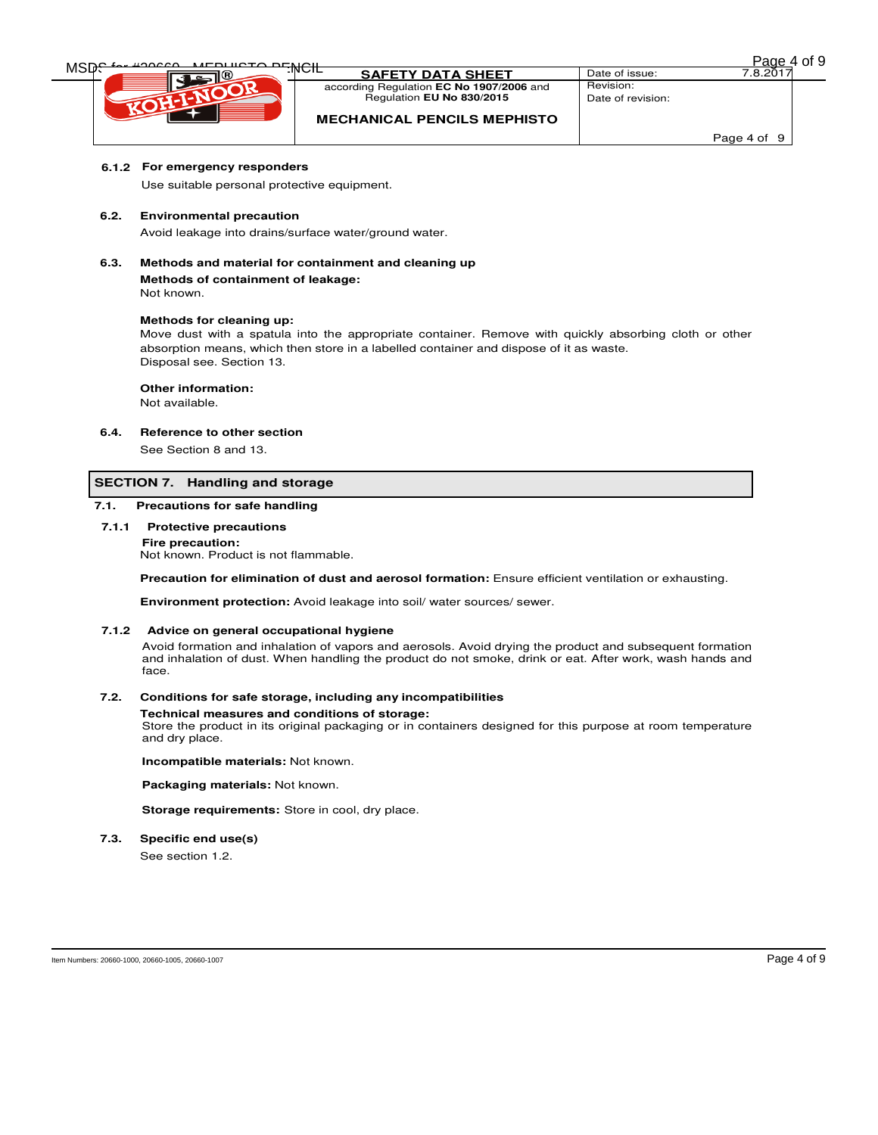| MEDURATO DEMOIL |                                          |                   | of 9<br>Page |
|-----------------|------------------------------------------|-------------------|--------------|
| MSD             | חסות:<br><b>SAFETY DATA SHEET</b>        | Date of issue:    | 7.8.201      |
|                 | according Regulation EC No 1907/2006 and | Revision:         |              |
|                 | Regulation EU No 830/2015                | Date of revision: |              |
|                 | <b>MECHANICAL PENCILS MEPHISTO</b>       |                   |              |
|                 |                                          |                   | Page 4 of 9  |

### **6.1.2 For emergency responders**

Use suitable personal protective equipment.

#### **6.2. Environmental precaution**

Avoid leakage into drains/surface water/ground water.

**6.3. Methods and material for containment and cleaning up** 

#### **Methods of containment of leakage:**  Not known.

## **Methods for cleaning up:**

Move dust with a spatula into the appropriate container. Remove with quickly absorbing cloth or other absorption means, which then store in a labelled container and dispose of it as waste. Disposal see. Section 13.

#### **Other information:**

Not available.

### **6.4. Reference to other section**

See Section 8 and 13.

#### **SECTION 7. Handling and storage**

### **7.1. Precautions for safe handling**

**7.1.1 Protective precautions** 

**Fire precaution:** Not known. Product is not flammable.

**Precaution for elimination of dust and aerosol formation:** Ensure efficient ventilation or exhausting.

**Environment protection:** Avoid leakage into soil/ water sources/ sewer.

#### **7.1.2 Advice on general occupational hygiene**

Avoid formation and inhalation of vapors and aerosols. Avoid drying the product and subsequent formation and inhalation of dust. When handling the product do not smoke, drink or eat. After work, wash hands and face.

#### **7.2. Conditions for safe storage, including any incompatibilities**

#### **Technical measures and conditions of storage:**

Store the product in its original packaging or in containers designed for this purpose at room temperature and dry place.

### **Incompatible materials:** Not known.

**Packaging materials:** Not known.

**Storage requirements:** Store in cool, dry place.

**7.3. Specific end use(s)** 

See section 1.2.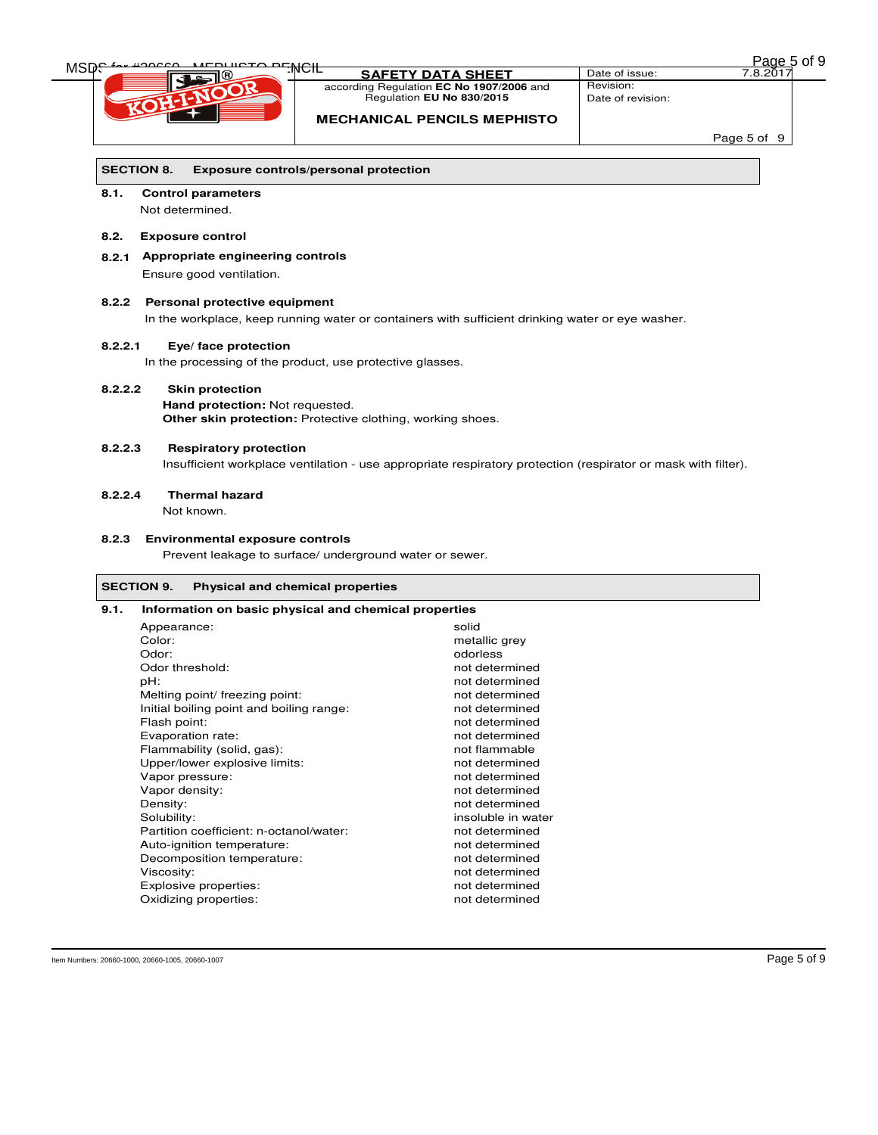| 2 <sub>age 5</sub> of 9 |
|-------------------------|
|-------------------------|

| MSD <del>.</del> | <del>ere priNCIL</del>                 |                                                                                                               | Page 5 of 9                    |
|------------------|----------------------------------------|---------------------------------------------------------------------------------------------------------------|--------------------------------|
|                  |                                        | <b>SAFETY DATA SHEET</b>                                                                                      | Date of issue:<br>7.8.2017     |
|                  |                                        | according Regulation EC No 1907/2006 and<br>Regulation EU No 830/2015                                         | Revision:<br>Date of revision: |
|                  |                                        |                                                                                                               |                                |
|                  |                                        | <b>MECHANICAL PENCILS MEPHISTO</b>                                                                            |                                |
|                  |                                        |                                                                                                               | Page 5 of 9                    |
|                  |                                        |                                                                                                               |                                |
|                  | <b>SECTION 8.</b>                      | <b>Exposure controls/personal protection</b>                                                                  |                                |
| 8.1.             | <b>Control parameters</b>              |                                                                                                               |                                |
|                  | Not determined.                        |                                                                                                               |                                |
| 8.2.             | <b>Exposure control</b>                |                                                                                                               |                                |
|                  | 8.2.1 Appropriate engineering controls |                                                                                                               |                                |
|                  | Ensure good ventilation.               |                                                                                                               |                                |
|                  |                                        |                                                                                                               |                                |
| 8.2.2            | Personal protective equipment          |                                                                                                               |                                |
|                  |                                        | In the workplace, keep running water or containers with sufficient drinking water or eye washer.              |                                |
| 8.2.2.1          | Eye/ face protection                   |                                                                                                               |                                |
|                  |                                        | In the processing of the product, use protective glasses.                                                     |                                |
|                  |                                        |                                                                                                               |                                |
| 8.2.2.2          | <b>Skin protection</b>                 |                                                                                                               |                                |
|                  | Hand protection: Not requested.        |                                                                                                               |                                |
|                  |                                        | <b>Other skin protection:</b> Protective clothing, working shoes.                                             |                                |
| 8.2.2.3          | <b>Respiratory protection</b>          |                                                                                                               |                                |
|                  |                                        | Insufficient workplace ventilation - use appropriate respiratory protection (respirator or mask with filter). |                                |
|                  |                                        |                                                                                                               |                                |
| 8.2.2.4          | <b>Thermal hazard</b>                  |                                                                                                               |                                |
|                  | Not known.                             |                                                                                                               |                                |
|                  |                                        |                                                                                                               |                                |
| 8.2.3            | <b>Environmental exposure controls</b> |                                                                                                               |                                |
|                  |                                        | Prevent leakage to surface/ underground water or sewer.                                                       |                                |
|                  |                                        |                                                                                                               |                                |
|                  | <b>SECTION 9.</b>                      | <b>Physical and chemical properties</b>                                                                       |                                |
| 9.1.             |                                        | Information on basic physical and chemical properties                                                         |                                |
|                  | Appearance:                            | solid                                                                                                         |                                |
|                  | Color:                                 | metallic grey                                                                                                 |                                |
|                  | Odor:<br>Odor threshold:               | odorless<br>not determined                                                                                    |                                |
|                  | pH:                                    | not determined                                                                                                |                                |
|                  | Melting point/ freezing point:         | not determined                                                                                                |                                |
|                  |                                        |                                                                                                               |                                |

insoluble in water

Flash point: not determined<br>
Evaporation rate: not determined<br>
Evaporation rate: not determined Evaporation rate:<br>
Flammability (solid, gas):<br>
Flammability (solid, gas):<br>
Flammability (solid, gas): Flammability (solid, gas):<br>
Upper/lower explosive limits:<br>
not determined Upper/lower explosive limits:<br>
Vapor pressure: not determined<br>
Napor pressure:

Vapor density: and the state of the state of the state of the state of the state of the state of the state of the state of the state of the state of the state of the state of the state of the state of the state of the stat Density: not determined<br>
Solubility: notice and the solubility:<br>
Solubility: notice and the solubility: notice and the solubility: notice and the solubility:

Partition coefficient: n-octanol/water: not determined<br>Auto-ignition temperature: not determined Auto-ignition temperature: not determined<br>Decomposition temperature: not determined

Viscosity: not determined<br>
Explosive properties:<br>
Explosive properties:<br>
Notes:<br>
The contract of the contract of the contract of the contract of the contract of the contract of the contract of the contract of the contract Explosive properties: not determined<br>
Oxidizing properties: not determined<br>
not determined

Vapor pressure:

Decomposition temperature:

Oxidizing properties: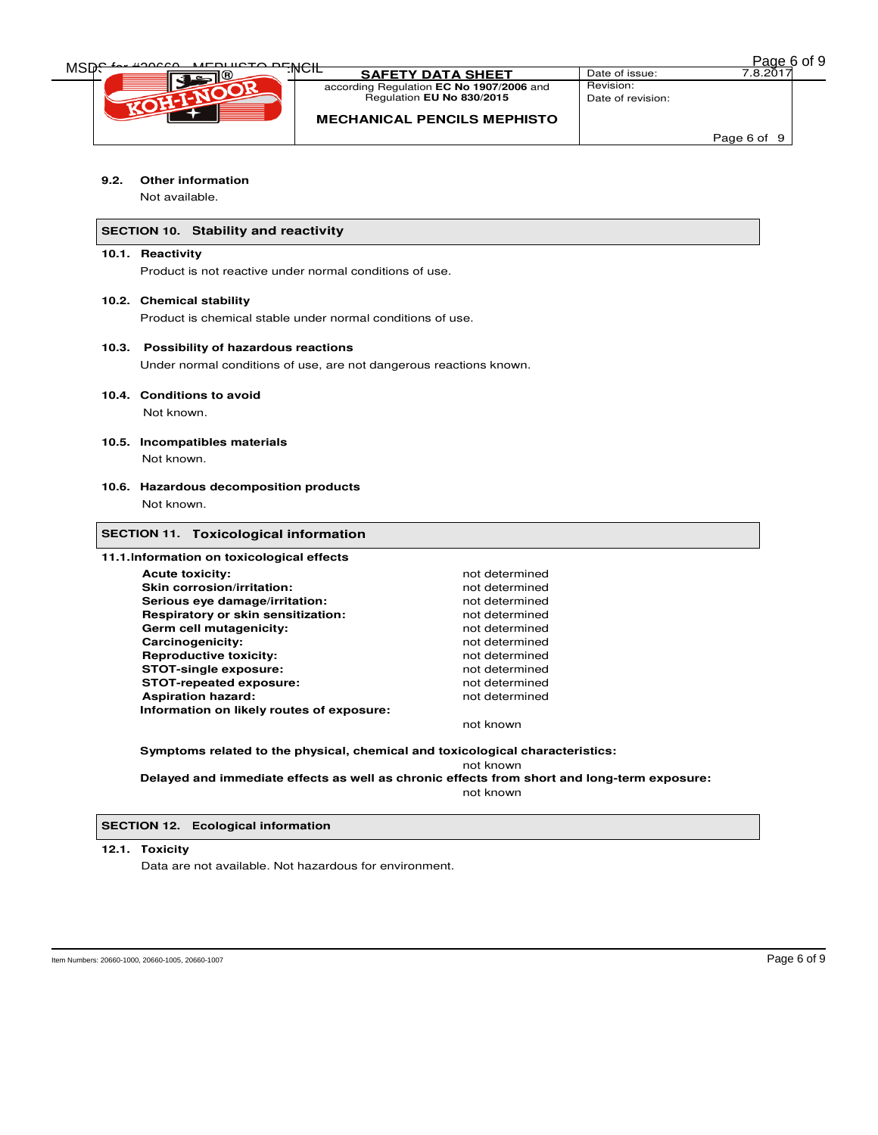| Page 6 of 9 |  |  |
|-------------|--|--|
|             |  |  |

| <b>DURCTO DEMOLL</b> |                                          |                   | of 9<br>Page 6 |  |
|----------------------|------------------------------------------|-------------------|----------------|--|
| MSD                  | חסמו:<br><b>SAFETY DATA SHEET</b>        | Date of issue:    | 7.8.201        |  |
|                      | according Regulation EC No 1907/2006 and | Revision:         |                |  |
|                      | Regulation EU No 830/2015                | Date of revision: |                |  |
|                      | <b>MECHANICAL PENCILS MEPHISTO</b>       |                   |                |  |
|                      |                                          |                   | Page 6 of 9    |  |

### **9.2. Other information**

Not available.

### **SECTION 10. Stability and reactivity**

### **10.1. Reactivity**

Product is not reactive under normal conditions of use.

### **10.2. Chemical stability**

Product is chemical stable under normal conditions of use.

#### **10.3. Possibility of hazardous reactions**

Under normal conditions of use, are not dangerous reactions known.

### **10.4. Conditions to avoid**

Not known.

### **10.5. Incompatibles materials**

Not known.

### **10.6. Hazardous decomposition products**

Not known.

### **SECTION 11. Toxicological information**

#### **11.1.Information on toxicological effects**

| <b>Acute toxicity:</b>                    | not determined |
|-------------------------------------------|----------------|
| Skin corrosion/irritation:                | not determined |
| Serious eve damage/irritation:            | not determined |
| Respiratory or skin sensitization:        | not determined |
| Germ cell mutagenicity:                   | not determined |
| Carcinogenicity:                          | not determined |
| <b>Reproductive toxicity:</b>             | not determined |
| <b>STOT-single exposure:</b>              | not determined |
| <b>STOT-repeated exposure:</b>            | not determined |
| <b>Aspiration hazard:</b>                 | not determined |
| Information on likely routes of exposure: |                |

not known

**Symptoms related to the physical, chemical and toxicological characteristics:** 

not known **Delayed and immediate effects as well as chronic effects from short and long-term exposure:** 

not known

**SECTION 12. Ecological information** 

### **12.1. Toxicity**

Data are not available. Not hazardous for environment.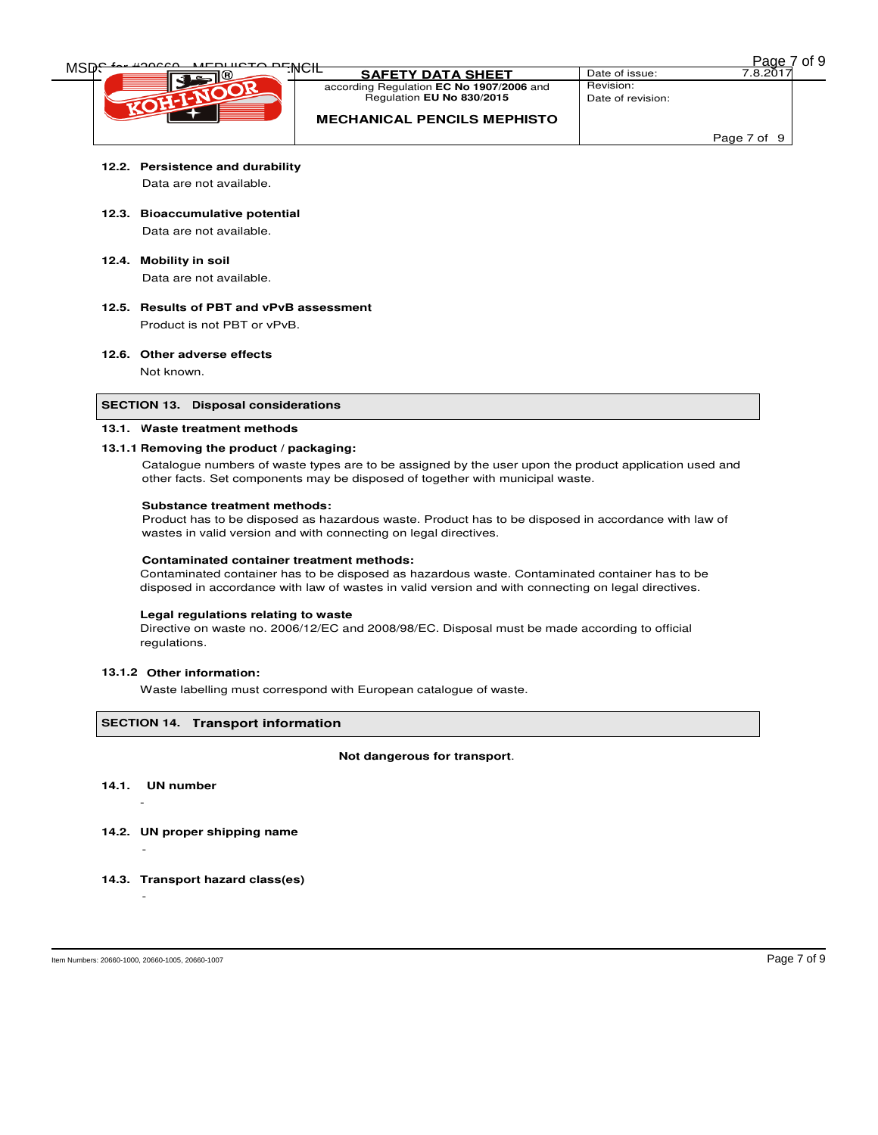| <b>MEDURATO DEMOR</b> |                                          |                   | <b>Page</b> | of 9 |
|-----------------------|------------------------------------------|-------------------|-------------|------|
| MSD                   | :INUTE<br><b>SAFETY DATA SHEET</b>       | Date of issue:    | 7.8.201     |      |
|                       | according Regulation EC No 1907/2006 and | Revision:         |             |      |
|                       | Regulation EU No 830/2015                | Date of revision: |             |      |
|                       | <b>MECHANICAL PENCILS MEPHISTO</b>       |                   |             |      |
|                       |                                          |                   | Page 7 of 9 |      |

# **12.2. Persistence and durability**

Data are not available.

**12.3. Bioaccumulative potential** 

Data are not available.

- **12.4. Mobility in soil**  Data are not available.
- **12.5. Results of PBT and vPvB assessment**  Product is not PBT or vPvB.

### **12.6. Other adverse effects**

Not known.

### **SECTION 13. Disposal considerations**

### **13.1. Waste treatment methods**

### **13.1.1 Removing the product / packaging:**

Catalogue numbers of waste types are to be assigned by the user upon the product application used and other facts. Set components may be disposed of together with municipal waste.

### **Substance treatment methods:**

Product has to be disposed as hazardous waste. Product has to be disposed in accordance with law of wastes in valid version and with connecting on legal directives.

#### **Contaminated container treatment methods:**

Contaminated container has to be disposed as hazardous waste. Contaminated container has to be disposed in accordance with law of wastes in valid version and with connecting on legal directives.

### **Legal regulations relating to waste**

Directive on waste no. 2006/12/EC and 2008/98/EC. Disposal must be made according to official regulations.

### **13.1.2 Other information:**

Waste labelling must correspond with European catalogue of waste.

### **SECTION 14. Transport information**

#### **Not dangerous for transport**.

**14.1. UN number**

 $\sim$  -  $\sim$   $-$ 

- **14.2. UN proper shipping name**
- **14.3. Transport hazard class(es)**

-

-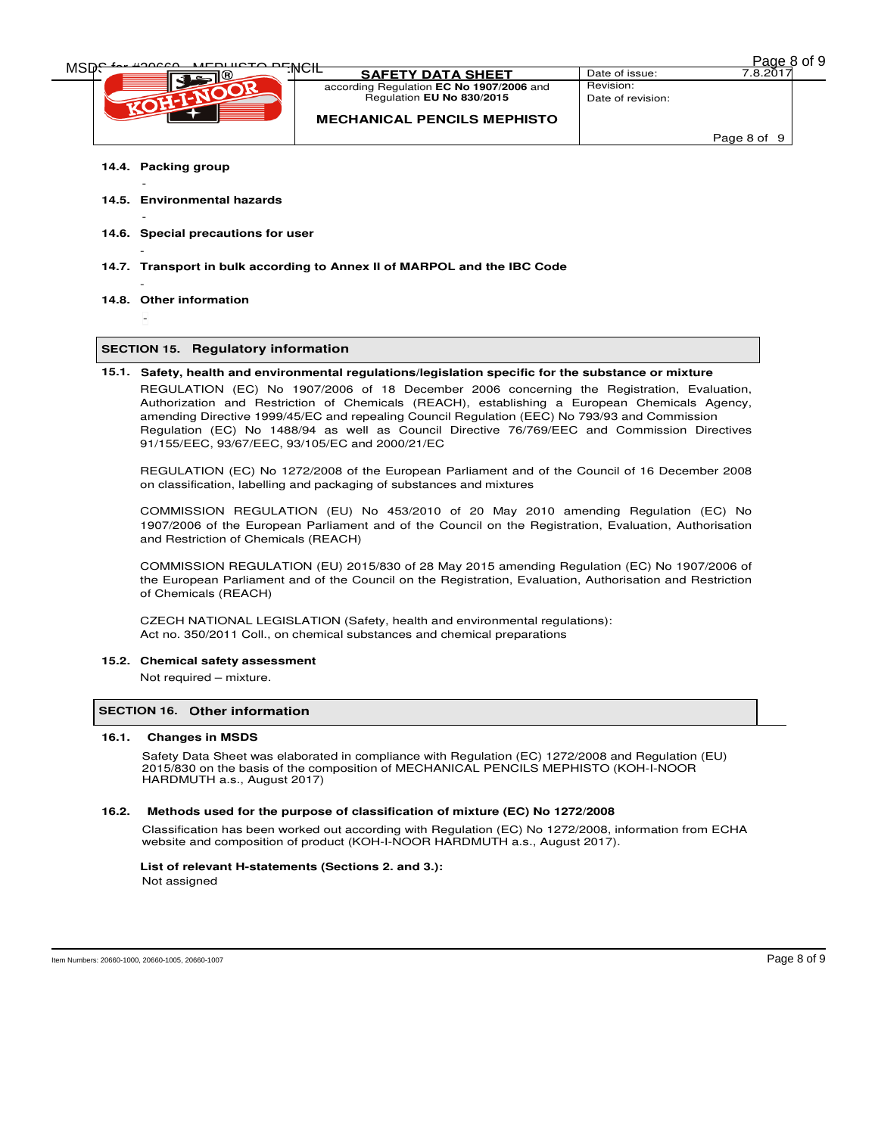| Page 8 of 9 |  |  |
|-------------|--|--|
|             |  |  |

| <b>DURCTO DEMOLL</b> |                                          |                   | Page,       | of 9 |
|----------------------|------------------------------------------|-------------------|-------------|------|
| MSD                  | חסמו:<br><b>SAFETY DATA SHEET</b>        | Date of issue:    | 7.8.201     |      |
|                      | according Regulation EC No 1907/2006 and | Revision:         |             |      |
|                      | Regulation EU No 830/2015                | Date of revision: |             |      |
|                      | <b>MECHANICAL PENCILS MEPHISTO</b>       |                   |             |      |
|                      |                                          |                   | Page 8 of 9 |      |

**14.4. Packing group** 

-

-

-

-

- **14.5. Environmental hazards**
- **14.6. Special precautions for user**
- **14.7. Transport in bulk according to Annex II of MARPOL and the IBC Code**

91/155/EEC, 93/67/EEC, 93/105/EC and 2000/21/EC

- **14.8. Other information** 
	- -

### **SECTION 15. Regulatory information**

**15.1. Safety, health and environmental regulations/legislation specific for the substance or mixture** REGULATION (EC) No 1907/2006 of 18 December 2006 concerning the Registration, Evaluation, Authorization and Restriction of Chemicals (REACH), establishing a European Chemicals Agency, amending Directive 1999/45/EC and repealing Council Regulation (EEC) No 793/93 and Commission Regulation (EC) No 1488/94 as well as Council Directive 76/769/EEC and Commission Directives

REGULATION (EC) No 1272/2008 of the European Parliament and of the Council of 16 December 2008 on classification, labelling and packaging of substances and mixtures

COMMISSION REGULATION (EU) No 453/2010 of 20 May 2010 amending Regulation (EC) No 1907/2006 of the European Parliament and of the Council on the Registration, Evaluation, Authorisation and Restriction of Chemicals (REACH)

COMMISSION REGULATION (EU) 2015/830 of 28 May 2015 amending Regulation (EC) No 1907/2006 of the European Parliament and of the Council on the Registration, Evaluation, Authorisation and Restriction of Chemicals (REACH)

CZECH NATIONAL LEGISLATION (Safety, health and environmental regulations): Act no. 350/2011 Coll., on chemical substances and chemical preparations

#### **15.2. Chemical safety assessment**

Not required – mixture.

### **SECTION 16. Other information**

#### **16.1. Changes in MSDS**

Safety Data Sheet was elaborated in compliance with Regulation (EC) 1272/2008 and Regulation (EU) 2015/830 on the basis of the composition of MECHANICAL PENCILS MEPHISTO (KOH-I-NOOR HARDMUTH a.s., August 2017)

#### **16.2. Methods used for the purpose of classification of mixture (EC) No 1272/2008**

Classification has been worked out according with Regulation (EC) No 1272/2008, information from ECHA website and composition of product (KOH-I-NOOR HARDMUTH a.s., August 2017).

### **List of relevant H-statements (Sections 2. and 3.):**  Not assigned

Item Numbers: 20660-1000, 20660-1005, 20660-1007 Page 8 of 9